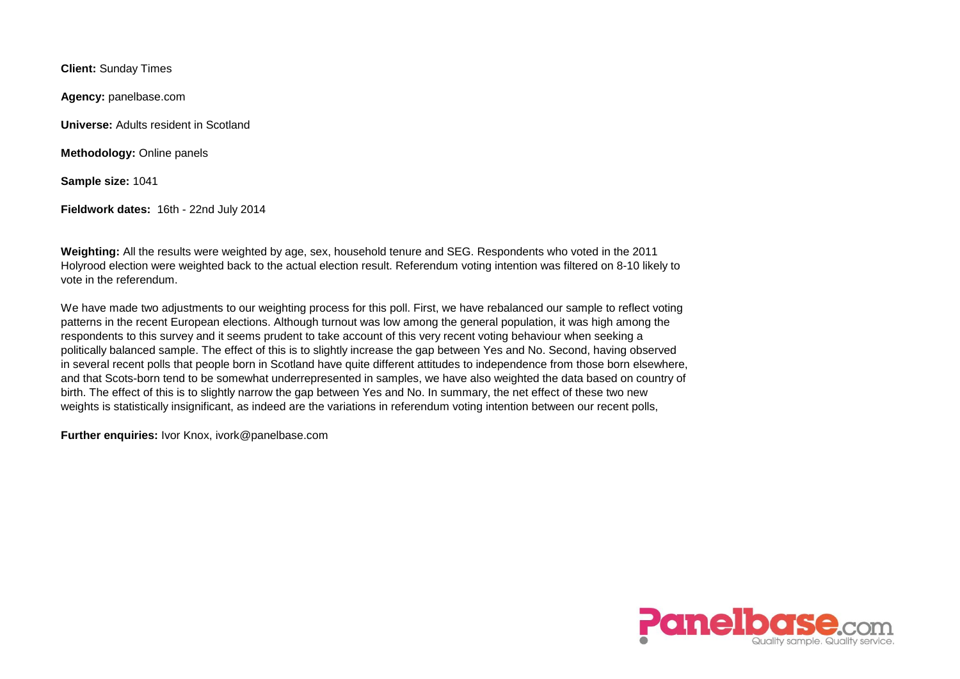**Client:** Sunday Times

**Agency:** panelbase.com

**Universe:** Adults resident in Scotland

**Methodology:** Online panels

**Sample size:** 1041

**Fieldwork dates:** 16th - 22nd July 2014

**Weighting:** All the results were weighted by age, sex, household tenure and SEG. Respondents who voted in the 2011 Holyrood election were weighted back to the actual election result. Referendum voting intention was filtered on 8-10 likely to vote in the referendum.

We have made two adjustments to our weighting process for this poll. First, we have rebalanced our sample to reflect voting patterns in the recent European elections. Although turnout was low among the general population, it was high among the respondents to this survey and it seems prudent to take account of this very recent voting behaviour when seeking a politically balanced sample. The effect of this is to slightly increase the gap between Yes and No. Second, having observed in several recent polls that people born in Scotland have quite different attitudes to independence from those born elsewhere, and that Scots-born tend to be somewhat underrepresented in samples, we have also weighted the data based on country of birth. The effect of this is to slightly narrow the gap between Yes and No. In summary, the net effect of these two new weights is statistically insignificant, as indeed are the variations in referendum voting intention between our recent polls,

**Further enquiries:** Ivor Knox, ivork@panelbase.com

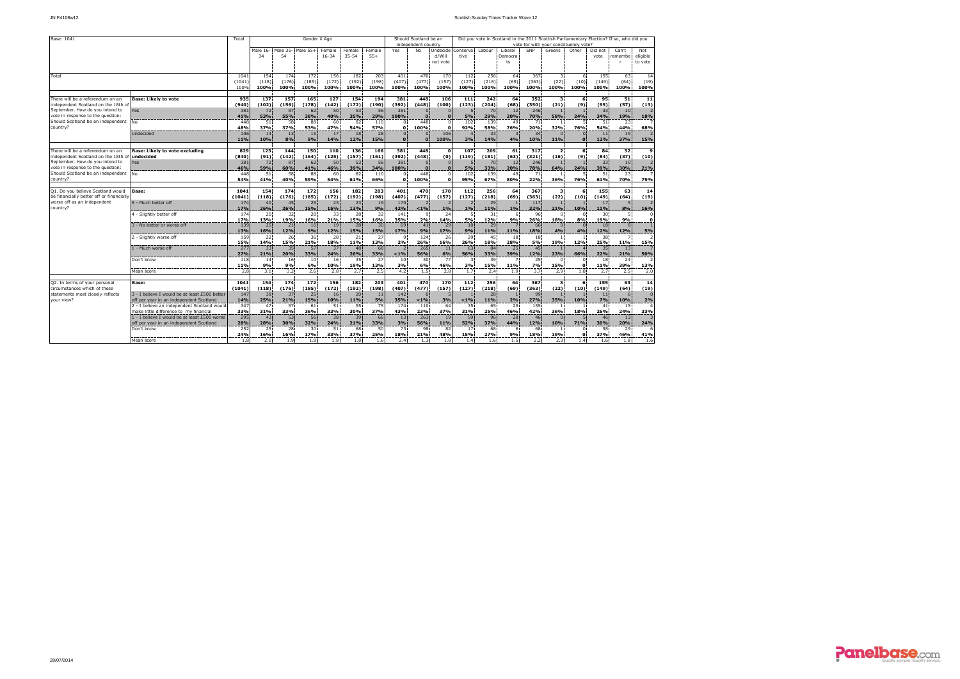| Base: 1041                               |                                               | Total      |           |           | Gender X Age      |           |           |           | Should Scotland be an<br>Did you vote in Scotland in the 2011 Scottish Parliamentary Election? If so, who did you |                     |            |                                       |           |           |           |                  |                      |           |              |          |  |
|------------------------------------------|-----------------------------------------------|------------|-----------|-----------|-------------------|-----------|-----------|-----------|-------------------------------------------------------------------------------------------------------------------|---------------------|------------|---------------------------------------|-----------|-----------|-----------|------------------|----------------------|-----------|--------------|----------|--|
|                                          |                                               |            |           |           |                   |           |           |           |                                                                                                                   | independent country |            | vote for with your constituency vote? |           |           |           |                  |                      |           |              |          |  |
|                                          |                                               |            | Male 16-  |           | Male 35- Male 55+ | Female    | Female    | Female    | Yes                                                                                                               | No.                 | Undecide   | Conserva                              | Labour    | Liberal   | SNP       | Greens           | Other                | Did not   | Can't        | Not      |  |
|                                          |                                               |            | 34        | 54        |                   | $16 - 34$ | $35 - 54$ | $55+$     |                                                                                                                   |                     | d/Will     | tive                                  |           | Democra   |           |                  |                      | vote      | remembe      | eligible |  |
|                                          |                                               |            |           |           |                   |           |           |           |                                                                                                                   |                     | not vote   |                                       |           | ts        |           |                  |                      |           | п            | to vote  |  |
|                                          |                                               |            |           |           |                   |           |           |           |                                                                                                                   |                     |            |                                       |           |           |           |                  |                      |           |              |          |  |
| Total                                    |                                               | 1041       | 154       | 174       | 172               | 156       | 182       | 203       | 401                                                                                                               | 470                 | 170        | 112                                   | 256       | 64        | 367       | $\mathbf{3}$     | 6                    | 155       | 63           | 14       |  |
|                                          |                                               | (1041)     | (118)     | (176)     | (185)             | (172)     | (192)     | (198)     | (407)                                                                                                             | (477)               | (157)      | (127)                                 | (218)     | (69)      | (363)     | (22)             | (10)                 | (149)     | (64)         | (19)     |  |
|                                          |                                               | 100%       | 100%      | 100%      | 100%              | 100%      | 100%      | 100%      | 100%                                                                                                              | 100%                | 100%       | 100%                                  | 100%      | 100%      | 100%      | 100%             | 100%                 | 100%      | 100%         | 100%     |  |
|                                          |                                               |            |           |           |                   |           |           |           |                                                                                                                   |                     |            |                                       |           |           |           |                  |                      |           |              |          |  |
| There will be a referendum on an         | <b>Base: Likely to vote</b>                   | 935        | 137       | 157       | 165               | 127       | 154       | 194       | 381                                                                                                               | 448                 | 106        | 111                                   | 242       | 64        | 352       | 3                | 6                    | 95        | 51           | 11       |  |
| independent Scotland on the 18th of      |                                               | (940)      | (102)     | (156)     | (178)             | (142)     | (172)     | (190)     | (392)                                                                                                             | (448)               | (100)      | (123)                                 | (204)     | (68)      | (350)     | (21)             | (9)                  | (95)      | (57)         | (13)     |  |
| September. How do you intend to          | <b>Yes</b>                                    | 381        | 72        | 87        | 62                | 50        | 53        | 56        | 381                                                                                                               |                     |            |                                       | 70        | 12        | 246       |                  |                      | 33        | 10           |          |  |
| vote in response to the question:        |                                               | 41%        | 53%       | 55%       | 38%               | 40%       | 35%       | 29%       | 100%                                                                                                              | $\Omega$            | $\sqrt{2}$ | 5%                                    | 29%       | 20%       | 70%       | 58%              | 24%                  | 34%       | 19%          | 18%      |  |
| Should Scotland be an independent        | No.                                           | 448        | 51        | 58        | 88                | 60        | 82        | 110       | $\Omega$                                                                                                          | 448                 |            | 102                                   | 139       | 49        | 71        | $\overline{1}$   | -5                   | 51        | 23           |          |  |
| country?                                 |                                               | 48%        | 37%       | 37%       | 53%               | 47%       | 54%       | 57%       | $\mathbf{o}$                                                                                                      | 100%                | $\Omega$   | 92%                                   | 58%       | 76%       | 20%       | 32%              | 76%                  | 54%       | 44%          | 68%      |  |
|                                          | Undecided                                     | 106        | 14        | 13        | 15                | 17        | 18        | 28        | $\mathbf{0}$                                                                                                      | $\Omega$            | 106        | $\Delta$                              | 33        |           | 34        | $\mathbf{0}$     | $\Omega$             | $1\,1$    | 19           |          |  |
|                                          |                                               | 11%        | 10%       | 8%        | 9%                | 14%       | 12%       | 15%       | $\sqrt{2}$                                                                                                        |                     | 100%       | 3%                                    | 14%       | 4%        | 10%       | 11%              | $\Omega$             | 12%       | 37%          | 15%      |  |
| There will be a referendum on an         | <b>Base: Likely to vote excluding</b>         | 829        | 123       | 144       | 150               | 110       | 136       | 166       | 381                                                                                                               | 448                 | $\Omega$   | 107                                   | 209       | 61        | 317       | $\overline{2}$   | 6                    | 84        | 32           | - 9      |  |
| independent Scotland on the 18th of      | undecided                                     | (840)      | (91)      | (142)     | (164)             | (125)     | (157)     | (161)     | (392)                                                                                                             | (448)               | (0)        | (119)                                 | (181)     | (63)      | (321)     | (16)             | (9)                  | (84)      | (37)         | (10)     |  |
| September. How do you intend to          | 'es                                           | 381        | 72        | 87        | 62                | 50        | 53        | 56        | 381                                                                                                               |                     |            |                                       | 70        | 12        | 246       |                  |                      | 33        | 10           |          |  |
| vote in response to the question:        |                                               | 46%        | 59%       | 60%       | 41%               | 46%       | 39%       | 34%       | 100%                                                                                                              | $\sqrt{2}$          |            | 5%                                    | 33%       | 20%       | 78%       | 64%              | 24%                  | 39%       | 30%          | 21%      |  |
| Should Scotland be an independent        | No.                                           | 448        | 51        | 58        | 88                | 60        | 82        | 110       | $\Omega$                                                                                                          | 448                 |            | 102                                   | 139       | 49        | 71        |                  | 5                    | 51        | 23           |          |  |
| country?                                 |                                               | 54%        | 41%       | 40%       | 59%               | 54%       | 61%       | 66%       | $\Omega$                                                                                                          | 100%                | $\Omega$   | 95%                                   | 67%       | 80%       | 22%       | 36%              | 76%                  | 61%       | 70%          | 79%      |  |
|                                          |                                               |            |           |           |                   |           |           |           |                                                                                                                   |                     |            |                                       |           |           |           |                  |                      |           |              |          |  |
| Q1. Do you believe Scotland would        | Base:                                         | 1041       | 154       | 174       | 172               | 156       | 182       | 203       | 401                                                                                                               | 470                 | 170        | 112                                   | 256       | 64        | 367       | 3                | 6                    | 155       | 63           | 14       |  |
| be financially better off or financially |                                               | (1041)     | (118)     | (176)     | (185)             | (172)     | (192)     | (198)     | (407)                                                                                                             | (477)               | (157)      | (127)                                 | (218)     | (69)      | (363)     | (22)             | (10)                 | (149)     | (64)         | (19)     |  |
| worse off as an independent              | 5 - Much better off                           | 174        | 40        | 45        | 25                | 23        | 23        | 19        | 170                                                                                                               |                     |            |                                       | 29        |           | 117       |                  |                      | 17        | 5            |          |  |
| country?                                 |                                               | 17%        | 26%       | 26%       | 15%               | 15%       | 13%       | 9%        | 42%                                                                                                               | $1\%$               | 1%         | 1%                                    | 11%       | 1%        | 32%       | 21%              | 10%                  | 11%       | 8%           | 16%      |  |
|                                          | 4 - Slightly better off                       | 174        | 20        | 32        | 28                | 33        | 28        | 32        | 141                                                                                                               | ٩                   | 24         |                                       | 31        |           | 96        | $\Omega$         | $\Omega$             | 30        | 5            |          |  |
|                                          |                                               | 17%        | 13%       | 19%       | 16%               | 21%       | 15%       | 16%       | 35%                                                                                                               | 2%                  | 14%        | 5%                                    | 12%       | 9%        | 26%       | 18%              | 8%                   | 19%       | 9%           | $\Omega$ |  |
|                                          | 3 - No better or worse off                    | 139        | 25        | 21        | 16                | 19        | 28        | 30        | 69                                                                                                                | 41                  | 29         | 10                                    | 29        |           | 66        | $\Omega$         | $\Omega$             | 18        | $\mathbf{R}$ |          |  |
|                                          |                                               | 13%<br>159 | 16%<br>22 | 12%<br>26 | 9%<br>36          | 12%<br>28 | 15%<br>21 | 15%<br>27 | 17%<br>9                                                                                                          | 9%<br>124           | 17%<br>26  | 9%<br>29                              | 11%<br>45 | 11%<br>18 | 18%<br>18 | 4%               | 4%<br>$\overline{1}$ | 12%<br>38 | 12%          | 5%       |  |
|                                          | 2 - Slightly worse off                        | 15%        | 14%       | 15%       | 21%               | 18%       | 11%       | 13%       | 2%                                                                                                                | 26%                 | 16%        | 26%                                   | 18%       | 28%       | 5%        | -1.<br>19%       | 12%                  | 25%       | 11%          | 15%      |  |
|                                          | 1 - Much worse off                            | 277        | 33        | 35        | 57                | 37        | 48        | 68        | $\overline{2}$                                                                                                    | 265                 | 11         | 63                                    | 84        | 25        | 45        |                  | $\overline{4}$       | 35        | 13           |          |  |
|                                          |                                               | 27%        | 21%       | 20%       | 33%               | 24%       | 26%       | 33%       | < 1%                                                                                                              | 56%                 | 6%         | 56%                                   | 33%       | 39%       | 12%       | 23%              | 66%                  | 22%       | 21%          | 50%      |  |
|                                          | Don't know                                    | 118        | 14        | 16        | 10                | 16        | 35        | 27        | 10                                                                                                                | 30                  | 77         | -3                                    | 39        |           | 25        | $^{\circ}$       | $\Omega$             | 18        | 24           |          |  |
|                                          |                                               | 11%        | 9%        | 9%        | 6%                | 10%       | 19%       | 13%       | 3%                                                                                                                | 6%                  | 46%        | 3%                                    | 15%       | 11%       | 7%        | 15%              | $\Omega$             | 11%       | 39%          | 13%      |  |
|                                          | Mean score                                    | 2.8        | 3.1       | 3.2       | 2.6               | 2.8       | 2.7       | 2.5       | 4.2                                                                                                               | 1.5                 | 2.8        | 1.7                                   | 2.4       | 1.9       | 3.7       | 2.9 <sup>1</sup> | 1.8 <sup>1</sup>     | 2.7       | 2.5          | 2.0      |  |
|                                          |                                               |            |           |           |                   |           |           |           |                                                                                                                   |                     |            |                                       |           |           |           |                  |                      |           |              |          |  |
| Q2. In terms of your personal            | Base:                                         | 1041       | 154       | 174       | 172               | 156       | 182       | 203       | 401                                                                                                               | 470                 | 170        | 112                                   | 256       | 64        | 367       | 3                | 6                    | 155       | 63           | 14       |  |
| circumstances which of these             |                                               | (1041)     | (118)     | (176)     | (185)             | (172)     | (192)     | (198)     | (407)                                                                                                             | (477)               | (157)      | (127)                                 | (218)     | (69)      | (363)     | (22)             | (10)                 | (149)     | (64)         | (19)     |  |
| statements most closely reflects         | 3 - I believe I would be at least £500 better | 147        | 38        | 37        | 25                | 16        | 20        | 11        | 142                                                                                                               |                     |            |                                       | 28        |           | 99        |                  |                      | 11        | 6            |          |  |
| vour view?                               | off per year in an independent Scotland       | 14%        | 25%       | 21%       | 15%               | 10%       | 11%       | <b>5%</b> | 35%                                                                                                               | < 1%                | 3%         | < 1%                                  | 11%       | 2%        | 27%       | 35%              | 10%                  | 7%        | 10%          | 2%       |  |
|                                          | 2 - I believe an independent Scotland would   | 347        | 47        | 57        | 61                | 51        | 55        | 75        | 174                                                                                                               | 110                 | 64         | 35                                    | 65        | 29        | 155       |                  |                      | 41        | 15           |          |  |
|                                          | make little difference to my financial        | 33%        | 31%       | 33%       | 36%               | 33%       | 30%       | 37%       | 43%                                                                                                               | 23%                 | 37%        | 31%                                   | 25%       | 46%       | 42%       | 36%              | 18%                  | 26%       | 24%          | 33%      |  |
|                                          | 1 - I believe I would be at least £500 worse  | 295        | 43        | 53        | 56                | 38        | 39        | 66        | 13                                                                                                                | 263                 | 19         | 59                                    | 96        | 28        | 46        |                  | 5                    | 46        | 13           |          |  |
|                                          | off per year in an independent Scotland       | 28%        | 28%       | 30%       | 32%               | 24%       | 21%       | 33%       | 3%                                                                                                                | 56%                 | 11%        | 52%                                   | 37%       | 44%       | 12%       | 10%              | 71%                  | 30%       | 20%          | 24%      |  |
|                                          | Don't know                                    | 252        | 25        | 28        | 30                | 51        | 68        | 50        | 73                                                                                                                | 98                  | 82         | 17                                    | 68        | 6         | 68        |                  | $\Omega$             | 58        | 29           |          |  |
|                                          |                                               | 24%        | 16%       | 16%       | 17%               | 33%       | 37%       | 25%       | 18%                                                                                                               | 21%                 | 48%        | 15%                                   | 27%       | 9%        | 18%       | 19%              | $\Omega$             | 37%       | 46%          | 41%      |  |
|                                          | Mean score                                    | 1.8        | 2.0       | 1.9       | 1.8               | 1.8       | 1.8       | 1.6       | 2.4                                                                                                               | 1.3                 | 1.8        | 1.4                                   | 1.6       | 1.5       | 2.2       | 2.3              | 1.4                  | 1.6       | 1.8          | 1.6      |  |

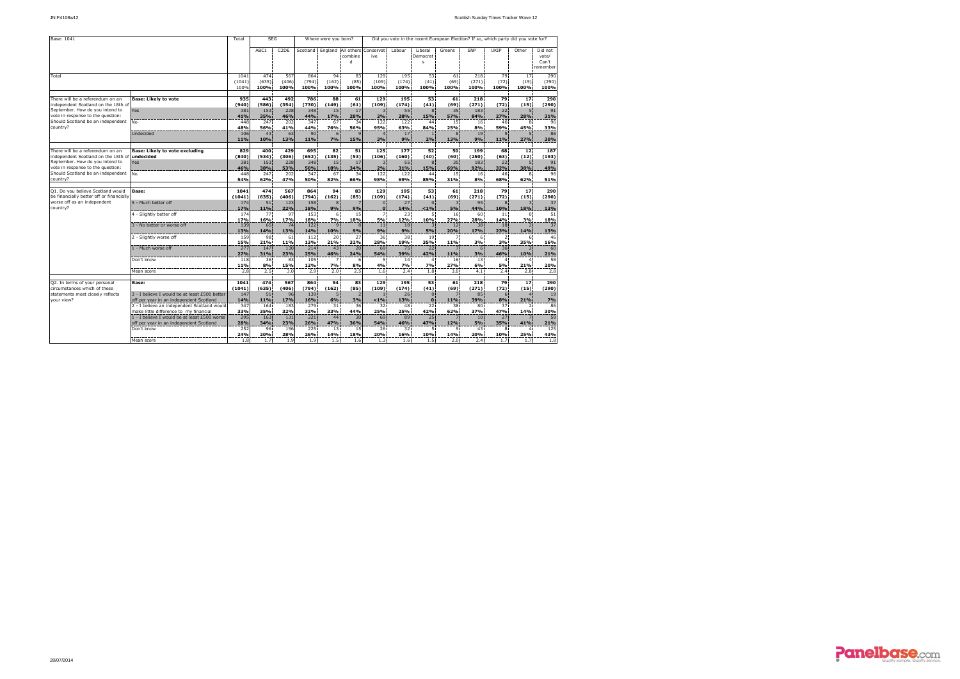| Base: 1041                                                              |                                                                                        | Total                  | <b>SEG</b>           |                      |                      | Where were you born?        |                    | Did you vote in the recent European Election? If so, which party did you vote for? |                        |                          |                     |                      |                     |                                 |                                       |  |  |  |
|-------------------------------------------------------------------------|----------------------------------------------------------------------------------------|------------------------|----------------------|----------------------|----------------------|-----------------------------|--------------------|------------------------------------------------------------------------------------|------------------------|--------------------------|---------------------|----------------------|---------------------|---------------------------------|---------------------------------------|--|--|--|
|                                                                         |                                                                                        |                        | ABC1                 | C <sub>2</sub> DE    |                      | Scotland England All others | combine<br>d       | Conservat:<br>ive                                                                  | Labour                 | Liberal<br>Democrat<br>s | Greens              | SNP                  | UKIP                | Other                           | Did not<br>vote/<br>Can't<br>remember |  |  |  |
| Total                                                                   |                                                                                        | 1041<br>(1041)<br>100% | 474<br>(635)<br>100% | 567<br>(406)<br>100% | 864<br>(794)<br>100% | 94<br>(162)<br>100%         | 83<br>(85)<br>100% | 129<br>(109)<br>100%                                                               | 195<br>(174)<br>100%   | 53<br>(41)<br>100%       | 61<br>(69)<br>100%  | 218<br>(271)<br>100% | 79<br>(72)<br>100%  | 17<br>(15)<br>100%              | 290<br>(290)<br>100%                  |  |  |  |
|                                                                         |                                                                                        |                        |                      |                      |                      |                             |                    |                                                                                    |                        |                          |                     |                      |                     |                                 |                                       |  |  |  |
| There will be a referendum on an<br>independent Scotland on the 18th of | <b>Base: Likely to vote</b>                                                            | 935<br>(940)           | 443<br>(586)         | 492<br>(354)         | 786<br>(730)         | 88<br>(149)                 | 61<br>(61)         | 129<br>(109)                                                                       | 195<br>(174)           | 53<br>(41)               | 61<br>(69)          | 218<br>(271)         | 79<br>(72)          | 17<br>(15)                      | 290<br>(290)                          |  |  |  |
| September. How do you intend to                                         | Yes                                                                                    | 381                    | 153                  | 228                  | 348                  | 15                          | 17                 | $\overline{3}$                                                                     | 55                     | 8                        | 35                  | 183                  | 22                  |                                 | 91                                    |  |  |  |
| vote in response to the question:                                       |                                                                                        | 41%                    | 35%                  | 46%                  | 44%                  | 17%                         | 28%                | 2%                                                                                 | 28%                    | 15%                      | 57%                 | 84%                  | 27%                 | 28%                             | 31%                                   |  |  |  |
| Should Scotland be an independent<br>country?                           | No                                                                                     | 448<br>48%             | 247<br>56%           | 202<br>41%           | 347<br>44%           | 67<br>76%                   | 34<br>56%          | 122<br>95%                                                                         | 122<br>63%             | 44 <sup>1</sup><br>84%   | 15<br>25%           | 16<br>8%             | 46<br>59%           | 8<br>45%                        | 96<br>33%                             |  |  |  |
|                                                                         | Undecided                                                                              | 106                    | 43 <sup>3</sup>      | 63                   | 90                   | 6                           |                    | 4 <sup>1</sup>                                                                     | 17                     | $\mathbf{1}$             | 8                   | 19                   | Q                   | 5                               | 86                                    |  |  |  |
|                                                                         |                                                                                        | 11%                    | 10%                  | 13%                  | 11%                  | 7%                          | 15%                | 3%                                                                                 | 9%                     | 2%                       | 13%                 | 9%                   | 11%                 | 27%                             | 30%                                   |  |  |  |
| There will be a referendum on an                                        | <b>Base: Likely to vote excluding</b>                                                  | 829                    | 400                  | 429                  | 695                  | 82                          | 51                 | 125                                                                                | 177                    | 52                       | 50                  | 199                  | 68                  | 12                              | 187                                   |  |  |  |
| independent Scotland on the 18th of                                     | undecided                                                                              | (840)                  | (534)                | (306)                | (652)                | (135)                       | (53)               | (106)                                                                              | (160)                  | (40)                     | (60)                | (250)                | (63)                | (12)                            | (193)                                 |  |  |  |
| September. How do you intend to                                         | Yes                                                                                    | 381                    | 153                  | 228                  | 348                  | 15                          | 17                 | $\overline{3}$                                                                     | 55                     | 8                        | 35                  | 183                  | 22                  | 5.                              | 91                                    |  |  |  |
| vote in response to the question:<br>Should Scotland be an independent  | No                                                                                     | 46%<br>448             | 38%<br>247           | 53%<br>202           | 50%<br>347           | 18%<br>67                   | 34%<br>34          | 2%<br>122                                                                          | 31%<br>122             | 15%<br>44                | 69%<br>15           | 92%<br>16            | 32%<br>46           | 38%<br>8                        | 49%<br>96                             |  |  |  |
| country?                                                                |                                                                                        | <b>54%</b>             | 62%                  | 47%                  | 50%                  | 82%                         | 66%                | 98%                                                                                | 69%                    | 85%                      | 31%                 | 8%                   | 68%                 | 62%                             | 51%                                   |  |  |  |
| O1. Do you believe Scotland would                                       |                                                                                        | 1041                   | 474                  | 567                  | 864                  | 94                          | 83                 | 129                                                                                | 195                    | 53                       | 61                  | 218                  | 79                  | 17                              | 290                                   |  |  |  |
| be financially better off or financially                                | <b>Base:</b>                                                                           | (1041)                 | (635)                | (406)                | (794)                | (162)                       | (85)               | (109)                                                                              | (174)                  | (41)                     | (69)                | (271)                | (72)                | (15)                            | (290)                                 |  |  |  |
| worse off as an independent                                             | 5 - Much better off                                                                    | 174                    | 51                   | 123                  | 158                  | $\mathbf{8}$                |                    | $\mathbf{0}$                                                                       | 27                     | $\Omega$                 | $\overline{3}$      | 95                   | 8                   | $\overline{3}$                  | 37                                    |  |  |  |
| country?                                                                |                                                                                        | 17%                    | 11%                  | 22%                  | 18%                  | 9%                          | 9%                 | $\Omega$                                                                           | 14%                    | $1\%$                    | 5%                  | 44%                  | 10%                 | 18%                             | 13%                                   |  |  |  |
|                                                                         | 4 - Slightly better off                                                                | 174                    | 77<br>16%            | 97<br>17%            | 153<br>18%           | 6<br>7%                     | 15<br>18%          | $\overline{7}$<br>5%                                                               | 23<br>12%              | 5<br>10%                 | 16<br>27%           | 60<br>28%            | 11<br>14%           | $\Omega$<br>3%                  | 51<br>18%                             |  |  |  |
|                                                                         | 3 - No better or worse off                                                             | 17%<br>139             | 65                   | 74                   | 122                  | $\mathbf{q}$                | 8                  | 11                                                                                 | 18                     | $\overline{3}$           | 12                  | 38                   | 18                  | $\overline{\phantom{a}}$        | 37                                    |  |  |  |
|                                                                         |                                                                                        | 13%                    | 14%                  | 13%                  | 14%                  | 10%                         | 9%                 | 9%                                                                                 | 9%                     | 5%                       | 20%                 | 17%                  | 23%                 | 14%                             | 13%                                   |  |  |  |
|                                                                         | 2 - Slightly worse off                                                                 | 159                    | 98                   | 61                   | 112                  | 20                          | 27                 | 36 <sup>3</sup>                                                                    | 38                     | 19                       | 7                   | 6                    | $\overline{2}$      | 6                               | 46                                    |  |  |  |
|                                                                         | 1 - Much worse off                                                                     | <b>15%</b><br>277      | 21%<br>147           | 11%<br>130           | 13%<br>214           | 21%<br>43                   | 32%<br>20          | 28%<br>69                                                                          | 19%<br>75              | 35%<br>22                | 11%                 | 3%<br>6              | 3%<br>36            | 35%<br>$\overline{2}$           | 16%<br>60                             |  |  |  |
|                                                                         |                                                                                        | 27%                    | 31%                  | 23%                  | 25%                  | 46%                         | 24%                | 54%                                                                                | 39%                    | 42%                      | 11%                 | 3%                   | 46%                 | 10%                             | 21%                                   |  |  |  |
|                                                                         | Don't know                                                                             | 118                    | 36                   | 83                   | 105                  | $\overline{7}$              | 6                  | 5.                                                                                 | 14                     | $\overline{4}$           | 16                  | 13                   | $\overline{4}$      | $\overline{a}$                  | 58                                    |  |  |  |
|                                                                         |                                                                                        | 11%                    | 8%                   | 15%                  | 12%                  | 7%                          | 8%                 | 4%                                                                                 | 7%                     | 7%                       | 27%                 | 6%                   | 5%                  | 21%                             | 20%                                   |  |  |  |
|                                                                         | Mean score                                                                             | 2.8                    | 2.5                  | 3.0                  | 2.9                  | 2.0                         | 2.5                | 1.6:                                                                               | 2.4                    | 1.8                      | 3.0                 | 4.1                  | 2.4:                | 2.8                             | 2.8                                   |  |  |  |
| Q2. In terms of your personal                                           | Base:                                                                                  | 1041                   | 474                  | 567                  | 864                  | 94                          | 83                 | 129                                                                                | 195                    | 53                       | 61                  | 218                  | 79                  | 17                              | 290                                   |  |  |  |
| circumstances which of these                                            |                                                                                        | (1041)                 | (635)                | (406)                | (794)                | (162)                       | (85)               | (109)                                                                              | (174)                  | (41)                     | (69)                | (271)                | (72)                | (15)                            | (290)                                 |  |  |  |
| statements most closely reflects<br>vour view?                          | 3 - I believe I would be at least £500 better                                          | 147                    | 51                   | 96                   | 139                  | 5                           |                    | $\mathbf{1}$                                                                       | 26                     | $\mathbf{0}$             | z                   | 85                   | 6                   |                                 | 19                                    |  |  |  |
|                                                                         | off per year in an independent Scotland<br>2 - I believe an independent Scotland would | 14%<br>347             | 11%<br>164           | 17%<br>183           | 16%<br>279           | 6%<br>31                    | 3%<br>36           | $1\%$<br>32                                                                        | 13%<br>48              | $\mathbf{o}$<br>22       | 11%<br>38           | 39%<br>80            | 8%<br>37            | 21%<br>$\overline{\phantom{a}}$ | 7%<br>86                              |  |  |  |
|                                                                         | make little difference to my financial                                                 | 33%                    | 35%                  | 32%                  | 32%                  | 33%                         | 44%                | 25%                                                                                | 25%                    | 42%                      | 62%                 | 37%                  | 47%                 | 14%                             | 30%                                   |  |  |  |
|                                                                         | 1 - I believe I would be at least £500 worse                                           | 295                    | 163                  | 131                  | 221                  | 44                          | 30                 | 69                                                                                 | 89                     | 25                       | 7                   | 10                   | 27                  |                                 | 59                                    |  |  |  |
|                                                                         | off per year in an independent Scotland                                                | 28%                    | 34%                  | 23%                  | 26%                  | 47%                         | 36%                | 54%                                                                                | 46%                    | 47%                      | 12%                 | 5%                   | 35%                 | 41%                             | 21%                                   |  |  |  |
|                                                                         | Don't know                                                                             | 252<br>24%             | 96<br>20%            | 156<br>28%           | 225<br>26%           | 13<br>14%                   | 15<br>18%          | 26<br>20%                                                                          | 32 <sup>1</sup><br>16% | 5.<br>10%                | $\mathbf{Q}$<br>14% | 43<br>20%            | $\mathbf{R}$<br>10% | $\overline{a}$<br>25%           | 125<br>43%                            |  |  |  |
|                                                                         | Mean score                                                                             | 1.8                    | 1.7                  | 1.9                  | 1.9                  | 1.5                         | 1.6                | 1.3                                                                                | 1.6                    | 1.5                      | 2.0                 | 2.4                  | 1.7                 | 1.7                             | 1.8                                   |  |  |  |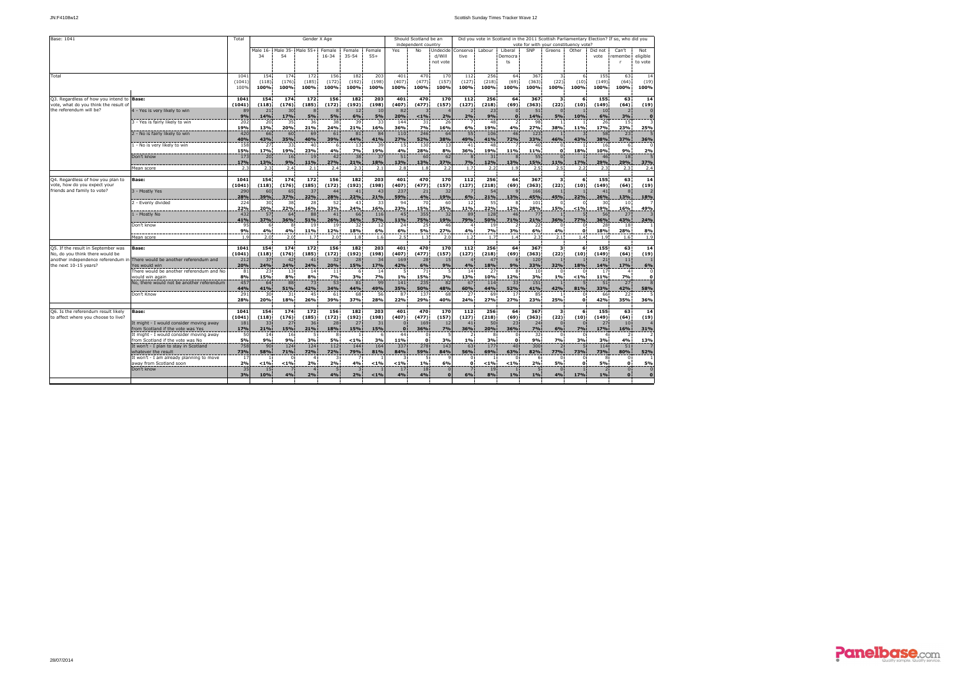| Base: 1041                                |                                                                             | Total      |            |           | Gender X Age |                |                |           |           | Should Scotland be an |           | Did you vote in Scotland in the 2011 Scottish Parliamentary Election? If so, who did you<br>vote for with your constituency vote? |            |                  |            |                      |                  |                |                  |          |  |
|-------------------------------------------|-----------------------------------------------------------------------------|------------|------------|-----------|--------------|----------------|----------------|-----------|-----------|-----------------------|-----------|-----------------------------------------------------------------------------------------------------------------------------------|------------|------------------|------------|----------------------|------------------|----------------|------------------|----------|--|
|                                           |                                                                             |            |            |           |              |                |                |           |           | independent country   |           |                                                                                                                                   |            |                  |            |                      |                  |                |                  |          |  |
|                                           |                                                                             |            | Male 16-   | Male 35-  | Male 55+     | Female         | Female         | Female    | Yes       | No                    | Undecide  | Conserva                                                                                                                          | Labour     | Liberal          | SNP        | Greens               | Other            | Did not        | Can't            | Not      |  |
|                                           |                                                                             |            | 34         | 54        |              | $16 - 34$      | $35 - 54$      | $55+$     |           |                       | d/Will    | tive                                                                                                                              |            | Democra          |            |                      |                  | vote           | remembe          | eligible |  |
|                                           |                                                                             |            |            |           |              |                |                |           |           |                       | not vote  |                                                                                                                                   |            | ts               |            |                      |                  |                | <b>r</b>         | to vote  |  |
|                                           |                                                                             |            |            |           |              |                |                |           |           |                       |           |                                                                                                                                   |            |                  |            |                      |                  |                |                  |          |  |
| Total                                     |                                                                             | 1041       | 154        | 174       | 172          | 156            | 182            | 203       | 401       | 470                   | 170       | 112                                                                                                                               | 256        | 64               | 367        | 3                    | 6                | 155            | 63               | 14       |  |
|                                           |                                                                             | (1041)     | (118)      | (176)     | (185)        | (172)          | (192)          | (198)     | (407)     | (477)                 | (157)     | (127)                                                                                                                             | (218)      | (69)             | (363)      | (22)                 | (10)             | (149)          | (64)             | (19)     |  |
|                                           |                                                                             | 100%       | 100%       | 100%      | 100%         | 100%           | 100%           | 100%      | 100%      | 100%                  | 100%      | 100%                                                                                                                              | 100%       | 100%             | 100%       | 100%                 | 100%             | 100%           | 100%             | 100%     |  |
| Q3. Regardless of how you intend to Base: |                                                                             | 1041       | 154        | 174       | 172          | 156            | 182            | 203       | 401       | 470                   | 170       | 112                                                                                                                               | 256        | 64               | 367        | $\mathbf{3}$         |                  | 155            | 63               | 14       |  |
| vote, what do you think the result of     |                                                                             | (1041)     | (118)      | (176)     | (185)        | (172)          | (192)          | (198)     | (407)     | (477)                 | (157)     | (127)                                                                                                                             | (218)      | (69)             | (363)      | (22)                 | (10)             | (149)          | (64)             | (19)     |  |
| the referendum will be?                   | 4 - Yes is very likely to win                                               | 89         | 21         | 30        | 8            | 8              | 12             | 10        | 82        |                       |           | $\overline{2}$                                                                                                                    | 23         | $\bf{0}$         | 51         | $\Omega$             |                  | 10             | $\overline{2}$   |          |  |
|                                           |                                                                             | 9%         | 14%        | 17%       | 5%           | 5%             | 6%             | 5%        | 20%       | < 1%                  | 2%        | 2%                                                                                                                                | 9%         | $\Omega$         | 14%        | 5%                   | 10%              | 6%             | 3%               |          |  |
|                                           | 3 - Yes is fairly likely to win                                             | 202        | 20         | 35        | 36           | 38             | 39             | 33        | 144       | 31                    | 26        | 7                                                                                                                                 | 48         | 2                | 98         | $\mathbf{1}$         |                  | 26             | 15               |          |  |
|                                           |                                                                             | 19%        | 13%        | 20%       | 21%          | 24%            | 21%            | 16%       | 36%       | 7%                    | 16%       | 6%                                                                                                                                | 19%        | 4%               | 27%        | 38%                  | 11%              | 17%            | 23%              | 25%      |  |
|                                           | 2 - No is fairly likely to win                                              | 420        | 66         | 60        | 69           | 61             | 81             | 84        | 110       | 246                   | 64        | 55                                                                                                                                | 106        | 46               | 123        |                      |                  | 58             | 23               |          |  |
|                                           |                                                                             | 40%        | 43%        | 35%       | 40%          | 39%            | 44%            | 41%       | 27%       | 52%                   | 38%       | 49%                                                                                                                               | 41%        | 72%              | 33%        | 46%                  | 43%              | 38%            | 37%              | 36%      |  |
|                                           | 1 - No is very likely to win                                                | 158        | 27         | 33        | 40           | 6              | 13             | 39        | 15        | 130                   | 13        | 41                                                                                                                                | 48         |                  | 40         | $\mathbf{0}$         |                  | 16             | 6                |          |  |
|                                           |                                                                             | 15%        | 17%        | 19%       | 23%          | 4%             | 7%             | 19%       | 4%        | 28%                   | 8%        | 36%                                                                                                                               | 19%        | 11%              | 11%        | $\Omega$             | 18%              | 10%            | 9%               | 2%       |  |
|                                           | Don't know                                                                  | 173        | 20         | 16        | 19           | 42             | 38             | 37        | 51        | 60                    | 62        | 8                                                                                                                                 | 31         | $\mathbf{8}$     | 55         | $\mathbf{0}$         |                  | 46             | 18               |          |  |
|                                           |                                                                             | 17%<br>2.3 | 13%<br>2.3 | 9%<br>2.4 | 11%          | 27%<br>2.4     | 21%<br>2.3     | 18%       | 13%       | 13%<br>1.8            | 37%       | 7%                                                                                                                                | 12%<br>2.2 | 13%<br>1.9       | 15%<br>2.5 | 11%                  | 17%              | 29%            | 29%              | 37%      |  |
|                                           | Mean score                                                                  |            |            |           | 2.1          |                |                | 2.1       | 2.8       |                       | 2.2       | 1.7                                                                                                                               |            |                  |            | 2.5                  | 2.2              | 2.3            | 2.3              | 2.4      |  |
| Q4. Regardless of how you plan to         | Base:                                                                       | 1041       | 154        | 174       | 172          | 156            | 182            | 203       | 401       | 470                   | 170       | 112                                                                                                                               | 256        | 64               | 367        | $\mathbf{3}$         | 6                | 155            | 63               | 14       |  |
| vote, how do you expect your              |                                                                             | (1041)     | (118)      | (176)     | (185)        | (172)          | (192)          | (198)     | (407)     | (477)                 | (157)     | (127)                                                                                                                             | (218)      | (69)             | (363)      | (22)                 | (10)             | (149)          | (64)             | (19)     |  |
| friends and family to vote?               | 3 - Mostly Yes                                                              | 290        | 60         | 65        | 37           | 44             | 41             | 43        | 237       | 21                    | 32        |                                                                                                                                   | 54         | $\alpha$         | 166        |                      |                  | 41             |                  |          |  |
|                                           |                                                                             | <b>28%</b> | 39%        | 37%       | 22%          | 28%            | 22%            | 21%       | 59%       | 4%                    | 19%       | 6%                                                                                                                                | 21%        | 13%              | 45%        | 45%                  | 22%              | 26%            | 13%              | 18%      |  |
|                                           | 2 - Evenly divided                                                          | 224        | 30         | 38        | 28           | 52             | 43             | 33        | 94        | 70                    | 60        | 12                                                                                                                                | 55         | 8                | 101        | $\Omega$             | $\Omega$         | 30             | 10               |          |  |
|                                           |                                                                             | <b>22%</b> | 20%        | 22%       | 16%          | 33%            | 24%            | 16%       | 23%       | 15%                   | 35%       | 11%                                                                                                                               | 22%        | 12%              | 28%        | 15%                  | $1\%$            | 19%            | 16%              | 49%      |  |
|                                           | 1 - Mostly No                                                               | 432        | 57         | 64        | 88           | 41             | 66             | 116       | 45        | 355                   | 32        | 89                                                                                                                                | 128        | 46               | 77         |                      | 5                | 56             | 27               |          |  |
|                                           |                                                                             | 41%        | 37%        | 36%       | 51%          | 26%            | 36%            | 57%       | 11%       | 75%                   | 19%       | 79%                                                                                                                               | 50%        | 71%              | 21%        | 36%                  | <b>77%</b>       | 36%            | 43%              | 24%      |  |
|                                           | Don't know                                                                  | 95         | -6         | 8         | 19           | 19             | 32             | 12        | 24        | 25                    | 46        | $\overline{4}$                                                                                                                    | 19         | $\overline{2}$   | 22         | $\Omega$             |                  | 28             | 18               |          |  |
|                                           |                                                                             | 9%         | 4%         | 4%        | 11%          | 12%            | 18%            | 6%        | 6%        | 5%                    | 27%       | 4%                                                                                                                                | <b>7%</b>  | 3%               | 6%         | 4%                   | $\Omega$         | 18%            | 28%              | 8%       |  |
|                                           | Mean score                                                                  | 1.9        | 2.0        | 2.0       | 1.7          | 2.0            | 1.8            | 1.6       | 2.5       | 1.3 <sup>1</sup>      | 2.0       | 1.2                                                                                                                               | 1.7        | 1.4 <sup>1</sup> | 2.3        | 2.1                  | 1.4 <sup>1</sup> | 1.9            | 1.6 <sup>1</sup> | 1.5      |  |
| Q5. If the result in September was        | Base:                                                                       | 1041       | 154        | 174       | 172          | 156            | 182            | 203       | 401       | 470                   | 170       | 112                                                                                                                               | 256        | 64               | 367        | 3                    | 6                | 155            | 63               | 14       |  |
| No, do you think there would be           |                                                                             | (1041)     | (118)      | (176)     | (185)        | (172)          | (192)          | (198)     | (407)     | (477)                 | (157)     | (127)                                                                                                                             | (218)      | (69)             | (363)      | (22)                 | (10)             | (149)          | (64)             | (19)     |  |
| another independence referendum ir        | There would be another referendum and                                       | 212        | 37         | 42        | 41           | 32             | 28             | 34        | 169       | 28                    | 15        | $\overline{4}$                                                                                                                    | 47         | 6                | 120        |                      |                  | 21             | 11               |          |  |
| the next 10-15 years?                     | es would win                                                                | 20%        | 24%        | 24%       | 24%          | 20%            | 15%            | 17%       | 42%       | 6%                    | 9%        | 4%                                                                                                                                | 18%        | 9%               | 33%        | 32%                  | 18%              | 14%            | 17%              | 6%       |  |
|                                           | There would be another referendum and No                                    | 81         | 23         | 13        | 14           | 11             | 6              | 14        | 5         | 71                    |           | 14                                                                                                                                | 27         | 8                | 10         | $\Omega$             | $\Omega$         | 17             | $\overline{4}$   |          |  |
|                                           | would win again                                                             | 8%         | 15%        | 8%        | 8%           | 7%             | 3%             | 7%        | 1%        | 15%                   | 3%        | 13%                                                                                                                               | 10%        | 12%              | 3%         | 1%                   | < 1%             | 11%            | 7%               | $\Omega$ |  |
|                                           | No, there would not be another referendum                                   | 457        | 64         | 88        | 73           | 53             | 81             | 99        | 141       | 235                   | 82        | 67                                                                                                                                | 114        | 33               | 151        |                      |                  | 51             | 27               |          |  |
|                                           |                                                                             | 44%        | 41%        | 51%       | 42%          | 34%            | 44%            | 49%       | 35%       | 50%                   | 48%       | 60%                                                                                                                               | 44%        | 52%              | 41%        | 42%                  | 81%              | 33%            | 42%              | 58%      |  |
|                                           | Don't Know                                                                  | 291        | 30         | 31        | 45           | 61             | 68             | 56        | 87        | 137                   | 68        | 27                                                                                                                                | 69         | 17               | 85         | $\overline{1}$       | $^{\circ}$       | 66             | 22               |          |  |
|                                           |                                                                             | 28%        | 20%        | 18%       | 26%          | 39%            | 37%            | 28%       | 22%       | 29%                   | 40%       | 24%                                                                                                                               | 27%        | 27%              | 23%        | 25%                  | $\Omega$         | 42%            | 35%              | 36%      |  |
|                                           |                                                                             |            |            |           |              |                |                |           |           |                       |           |                                                                                                                                   |            |                  |            |                      |                  |                |                  |          |  |
| Q6. Is the referendum result likely       | Base:                                                                       | 1041       | 154        | 174       | 172          | 156            | 182            | 203       | 401       | 470                   | 170       | 112                                                                                                                               | 256        | 64               | 367        | 3                    | 6                | 155            | 63               | 14       |  |
| to affect where you choose to live?       |                                                                             | (1041)     | (118)      | (176)     | (185)        | (172)          | (192)          | (198)     | (407)     | (477)                 | (157)     | (127)                                                                                                                             | (218)      | (69)             | (363)      | (22)                 | (10)             | (149)          | (64)             | (19)     |  |
|                                           | It might - I would consider moving away                                     | 181        | 33         | 27        | 36           | 28             | 27             | 31        | $\Omega$  | 169                   | 12        | 41                                                                                                                                | 50         | 23               | 24         | $\Omega$             |                  | 27             | 10               |          |  |
|                                           | from Scotland if the vote was Yes                                           | 17%        | 21%        | 15%       | 21%          | 18%            | 15%            | 15%       | $\Omega$  | 36%                   | 7%        | 36%                                                                                                                               | 20%        | 36%              | 7%         | 6%                   | 7%               | 17%            | 16%              | 31%      |  |
|                                           | It might - I would consider moving away<br>from Scotland if the vote was No | 50         | 14         | 16        | -5           | 8              |                |           | 44<br>11% | $\Omega$              |           | 2                                                                                                                                 | 8          | $\Omega$<br>n    | 32         | $\Omega$             | 3%               | 3%             | 4%               |          |  |
|                                           | It won't - I plan to stay in Scotland                                       | 5%<br>758  | 9%<br>90   | 9%<br>124 | 3%<br>124    | 5%<br>112      | 1%<br>144      | 3%<br>164 | 337       | $\Omega$<br>278       | 3%<br>143 | 1%<br>63                                                                                                                          | 3%<br>177  | 40:              | 9%<br>300  | 7%<br>$\overline{z}$ |                  | 114            | 51               | 13%      |  |
|                                           | whatever the result                                                         | 73%        | 58%        | 71%       | 72%          | 72%            | 79%            | 81%       | 84%       | 59%                   | 84%       | 56%                                                                                                                               | 69%        | 63%              | 82%        | 77%                  | 73%              | 73%            | 80%              | 52%      |  |
|                                           | It won't - I am already planning to move                                    | 17         |            | $\Omega$  |              | 3              |                |           | 3         | 5                     |           |                                                                                                                                   |            |                  | 6          | $\Omega$             |                  | 8              |                  |          |  |
|                                           | away from Scotland soon                                                     | 2%         | < 1%       | < 1%      | 2%           | 2%             | 4%             | < 1%      | 1%        | 1%                    | 6%        | $\Omega$                                                                                                                          | 1%         | 1%               | 2%         | 5%                   | $\Omega$         | 5%             | $\mathbf 0$      | 5%       |  |
|                                           | Don't know                                                                  | 35         | 15         |           |              | $\overline{5}$ | $\overline{3}$ |           | 17        | 18                    |           |                                                                                                                                   | 19         |                  | 5          |                      |                  | $\overline{2}$ | $\Omega$         |          |  |
|                                           |                                                                             | 3%         | 10%        | 4%        | 2%           | 4%             | 2%             | 1%        | 4%        | 4%                    |           | 6%                                                                                                                                | 8%         | 1%               | 1%         | 4%                   | 17%              | 1%             | $\Omega$         |          |  |
|                                           |                                                                             |            |            |           |              |                |                |           |           |                       |           |                                                                                                                                   |            |                  |            |                      |                  |                |                  |          |  |